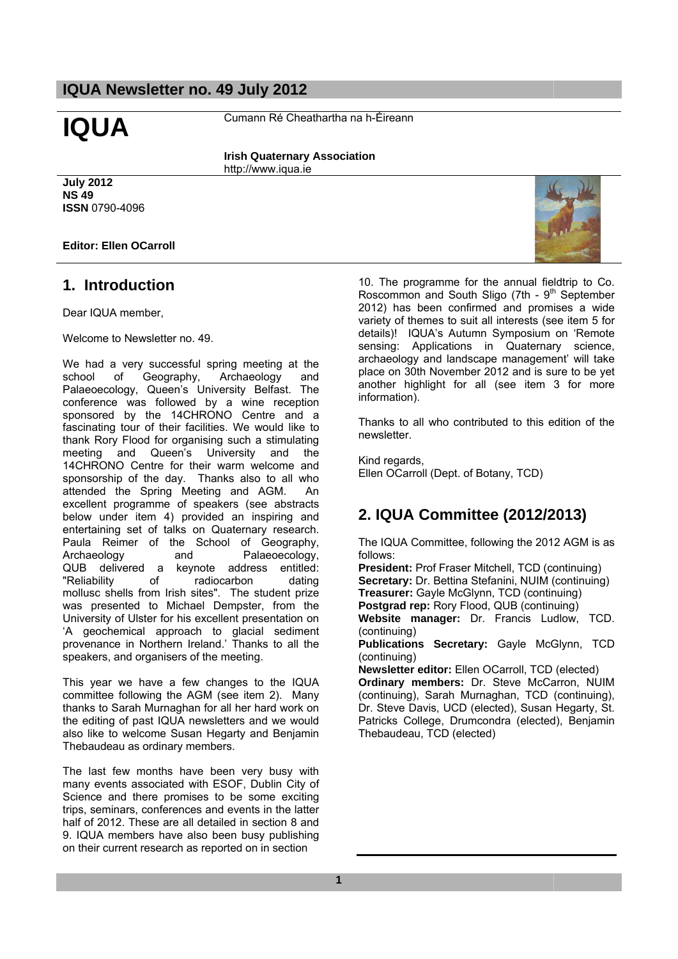**IQUA** Cumann Ré Cheathartha na h-Éireann

**Irish Quaternary Association**  http://www.iqua.ie

# **July 2012 NS 49 ISSN** 0790-4096

# **Editor: Ellen OCarroll**

# **1. Introduction**

Dear IQUA member,

Welcome to Newsletter no. 49.

We had a very successful spring meeting at the school of Geography, Archaeology and Palaeoecology, Queen's University Belfast. The conference was followed by a wine reception sponsored by the 14CHRONO Centre and a fascinating tour of their facilities. We would like to thank Rory Flood for organising such a stimulating meeting and Queen's University and the 14CHRONO Centre for their warm welcome and sponsorship of the day. Thanks also to all who attended the Spring Meeting and AGM. An excellent programme of speakers (see abstracts below under item 4) provided an inspiring and entertaining set of talks on Quaternary research. Paula Reimer of the School of Geography, Archaeology and Palaeoecology, QUB delivered a keynote address entitled: "Reliability of radiocarbon dating mollusc shells from Irish sites". The student prize was presented to Michael Dempster, from the University of Ulster for his excellent presentation on 'A geochemical approach to glacial sediment provenance in Northern Ireland.' Thanks to all the speakers, and organisers of the meeting.

This year we have a few changes to the IQUA committee following the AGM (see item 2). Many thanks to Sarah Murnaghan for all her hard work on the editing of past IQUA newsletters and we would also like to welcome Susan Hegarty and Benjamin Thebaudeau as ordinary members.

The last few months have been very busy with many events associated with ESOF, Dublin City of Science and there promises to be some exciting trips, seminars, conferences and events in the latter half of 2012. These are all detailed in section 8 and 9. IQUA members have also been busy publishing on their current research as reported on in section

10. The programme for the annual fieldtrip to Co. Roscommon and South Sligo (7th -  $9<sup>th</sup>$  September 2012) has been confirmed and promises a wide variety of themes to suit all interests (see item 5 for details)! IQUA's Autumn Symposium on 'Remote sensing: Applications in Quaternary science, archaeology and landscape management' will take place on 30th November 2012 and is sure to be yet another highlight for all (see item 3 for more information).

Thanks to all who contributed to this edition of the newsletter.

Kind regards, Ellen OCarroll (Dept. of Botany, TCD)

# **2. IQUA Committee (2012/2013)**

The IQUA Committee, following the 2012 AGM is as follows:

**President:** Prof Fraser Mitchell, TCD (continuing) **Secretary:** Dr. Bettina Stefanini, NUIM (continuing) **Treasurer:** Gayle McGlynn, TCD (continuing) **Postgrad rep:** Rory Flood, QUB (continuing) **Website manager:** Dr. Francis Ludlow, TCD. (continuing) **Publications Secretary:** Gayle McGlynn, TCD (continuing) **Newsletter editor:** Ellen OCarroll, TCD (elected) **Ordinary members:** Dr. Steve McCarron, NUIM

(continuing), Sarah Murnaghan, TCD (continuing), Dr. Steve Davis, UCD (elected), Susan Hegarty, St. Patricks College, Drumcondra (elected), Benjamin Thebaudeau, TCD (elected)

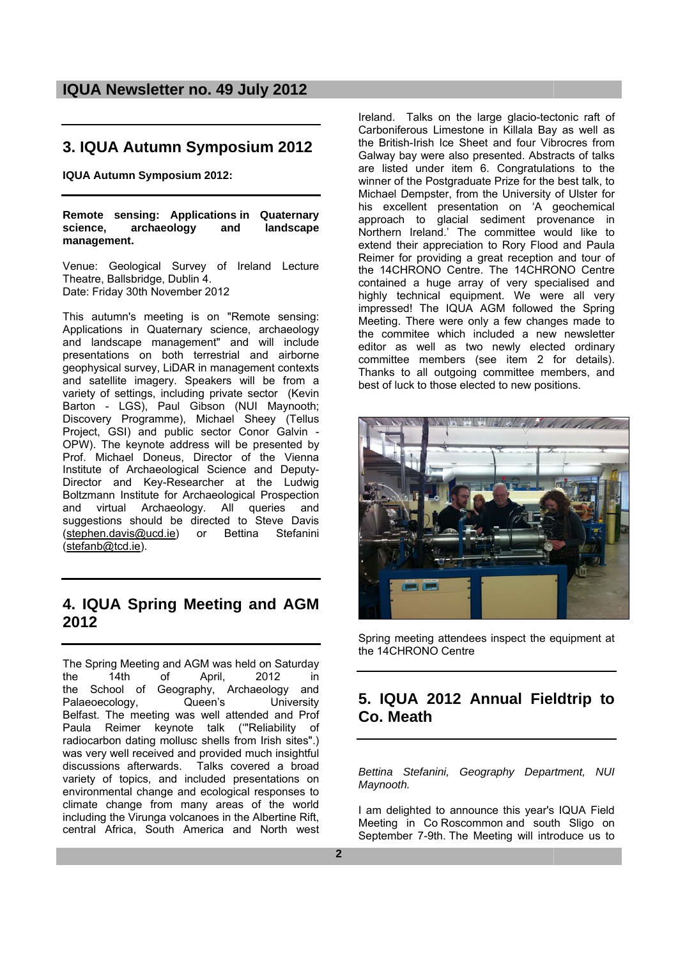# **3. IQUA Autumn Symposium 2012**

**IQUA Autumn Symposium 2012:** 

**Remote sensing: Applications in Quaternary science, archaeology and landscape management.** 

Venue: Geological Survey of Ireland Lecture Theatre, Ballsbridge, Dublin 4. Date: Friday 30th November 2012

This autumn's meeting is on "Remote sensing: Applications in Quaternary science, archaeology and landscape management" and will include presentations on both terrestrial and airborne geophysical survey, LiDAR in management contexts and satellite imagery. Speakers will be from a variety of settings, including private sector (Kevin Barton - LGS), Paul Gibson (NUI Maynooth; Discovery Programme), Michael Sheey (Tellus Project, GSI) and public sector Conor Galvin - OPW). The keynote address will be presented by Prof. Michael Doneus, Director of the Vienna Institute of Archaeological Science and Deputy-Director and Key-Researcher at the Ludwig Boltzmann Institute for Archaeological Prospection and virtual Archaeology. All queries and suggestions should be directed to Steve Davis (stephen.davis@ucd.ie) or Bettina Stefanini (stefanb@tcd.ie).

# **4. IQUA Spring Meeting and AGM 2012**

The Spring Meeting and AGM was held on Saturday the 14th of April, 2012 in the School of Geography, Archaeology and Palaeoecology, Queen's University Belfast. The meeting was well attended and Prof Paula Reimer keynote talk ('"Reliability of radiocarbon dating mollusc shells from Irish sites".) was very well received and provided much insightful discussions afterwards. Talks covered a broad variety of topics, and included presentations on environmental change and ecological responses to climate change from many areas of the world including the Virunga volcanoes in the Albertine Rift, central Africa, South America and North west Ireland. Talks on the large glacio-tectonic raft of Carboniferous Limestone in Killala Bay as well as the British-Irish Ice Sheet and four Vibrocres from Galway bay were also presented. Abstracts of talks are listed under item 6. Congratulations to the winner of the Postgraduate Prize for the best talk, to Michael Dempster, from the University of Ulster for his excellent presentation on 'A geochemical approach to glacial sediment provenance in Northern Ireland.' The committee would like to extend their appreciation to Rory Flood and Paula Reimer for providing a great reception and tour of the 14CHRONO Centre. The 14CHRONO Centre contained a huge array of very specialised and highly technical equipment. We were all very impressed! The IQUA AGM followed the Spring Meeting. There were only a few changes made to the commitee which included a new newsletter editor as well as two newly elected ordinary committee members (see item 2 for details). Thanks to all outgoing committee members, and best of luck to those elected to new positions.



Spring meeting attendees inspect the equipment at the 14CHRONO Centre

# **5. IQUA 2012 Annual Fieldtrip to Co. Meath**

*Bettina Stefanini, Geography Department, NUI Maynooth.* 

I am delighted to announce this year's IQUA Field Meeting in Co Roscommon and south Sligo on September 7-9th. The Meeting will introduce us to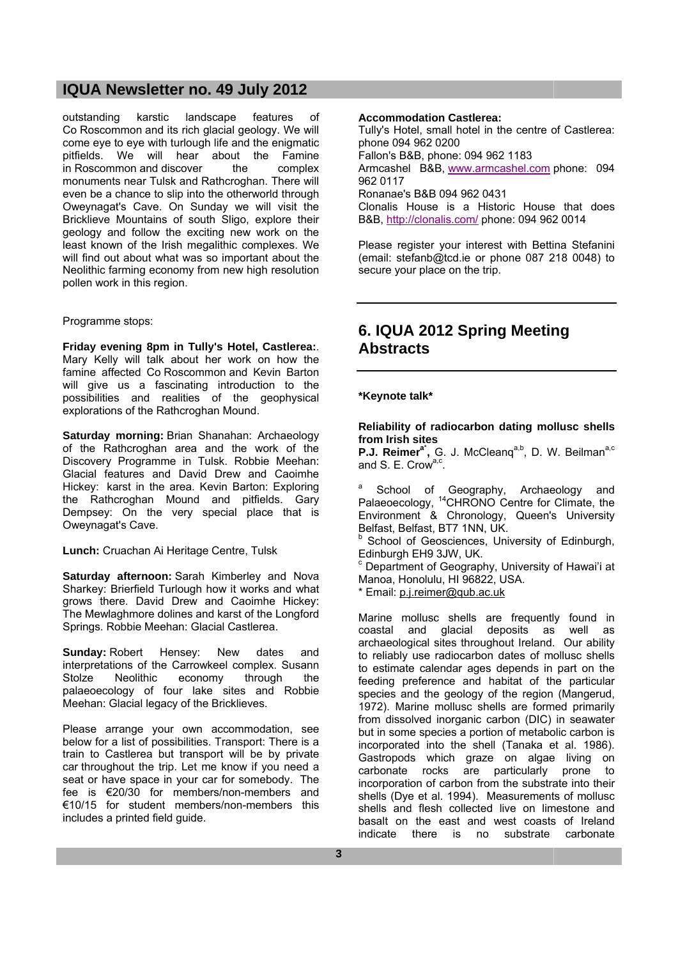outstanding karstic landscape features of Co Roscommon and its rich glacial geology. We will come eye to eye with turlough life and the enigmatic pitfields. We will hear about the Famine in Roscommon and discover the complex monuments near Tulsk and Rathcroghan. There will even be a chance to slip into the otherworld through Oweynagat's Cave. On Sunday we will visit the Bricklieve Mountains of south Sligo, explore their geology and follow the exciting new work on the least known of the Irish megalithic complexes. We will find out about what was so important about the Neolithic farming economy from new high resolution pollen work in this region.

# Programme stops:

**Friday evening 8pm in Tully's Hotel, Castlerea:**. Mary Kelly will talk about her work on how the famine affected Co Roscommon and Kevin Barton will give us a fascinating introduction to the possibilities and realities of the geophysical explorations of the Rathcroghan Mound.

**Saturday morning:** Brian Shanahan: Archaeology of the Rathcroghan area and the work of the Discovery Programme in Tulsk. Robbie Meehan: Glacial features and David Drew and Caoimhe Hickey: karst in the area. Kevin Barton: Exploring the Rathcroghan Mound and pitfields. Gary Dempsey: On the very special place that is Oweynagat's Cave.

**Lunch:** Cruachan Ai Heritage Centre, Tulsk

**Saturday afternoon:** Sarah Kimberley and Nova Sharkey: Brierfield Turlough how it works and what grows there. David Drew and Caoimhe Hickey: The Mewlaghmore dolines and karst of the Longford Springs. Robbie Meehan: Glacial Castlerea.

**Sunday:** Robert Hensey: New dates and interpretations of the Carrowkeel complex. Susann Stolze Neolithic economy through the palaeoecology of four lake sites and Robbie Meehan: Glacial legacy of the Bricklieves.

Please arrange your own accommodation, see below for a list of possibilities. Transport: There is a train to Castlerea but transport will be by private car throughout the trip. Let me know if you need a seat or have space in your car for somebody. The fee is €20/30 for members/non-members and €10/15 for student members/non-members this includes a printed field guide.

#### **Accommodation Castlerea:**

Tully's Hotel, small hotel in the centre of Castlerea: phone 094 962 0200 Fallon's B&B, phone: 094 962 1183 Armcashel B&B, www.armcashel.com phone: 094 962 0117 Ronanae's B&B 094 962 0431 Clonalis House is a Historic House that does B&B, http://clonalis.com/ phone: 094 962 0014

Please register your interest with Bettina Stefanini (email: stefanb@tcd.ie or phone 087 218 0048) to secure your place on the trip.

# **6. IQUA 2012 Spring Meeting Abstracts**

### **\*Keynote talk\***

**Reliability of radiocarbon dating mollusc shells from Irish sites** 

P.J. Reimer<sup>a\*</sup>, G. J. McCleanq<sup>a,b</sup>, D. W. Beilman<sup>a,c</sup> and S. E. Crow<sup>a,c</sup>.

<sup>a</sup> School of Geography, Archaeology and Palaeoecology, <sup>14</sup>CHRONO Centre for Climate, the Environment & Chronology, Queen's University Belfast, Belfast, BT7 1NN, UK.

**b** School of Geosciences, University of Edinburgh, Edinburgh EH9 3JW, UK.

c Department of Geography, University of Hawai'i at Manoa, Honolulu, HI 96822, USA.

\* Email: p.j.reimer@qub.ac.uk

Marine mollusc shells are frequently found in coastal and glacial deposits as well as archaeological sites throughout Ireland. Our ability to reliably use radiocarbon dates of mollusc shells to estimate calendar ages depends in part on the feeding preference and habitat of the particular species and the geology of the region (Mangerud, 1972). Marine mollusc shells are formed primarily from dissolved inorganic carbon (DIC) in seawater but in some species a portion of metabolic carbon is incorporated into the shell (Tanaka et al. 1986). Gastropods which graze on algae living on carbonate rocks are particularly prone to incorporation of carbon from the substrate into their shells (Dye et al. 1994). Measurements of mollusc shells and flesh collected live on limestone and basalt on the east and west coasts of Ireland indicate there is no substrate carbonate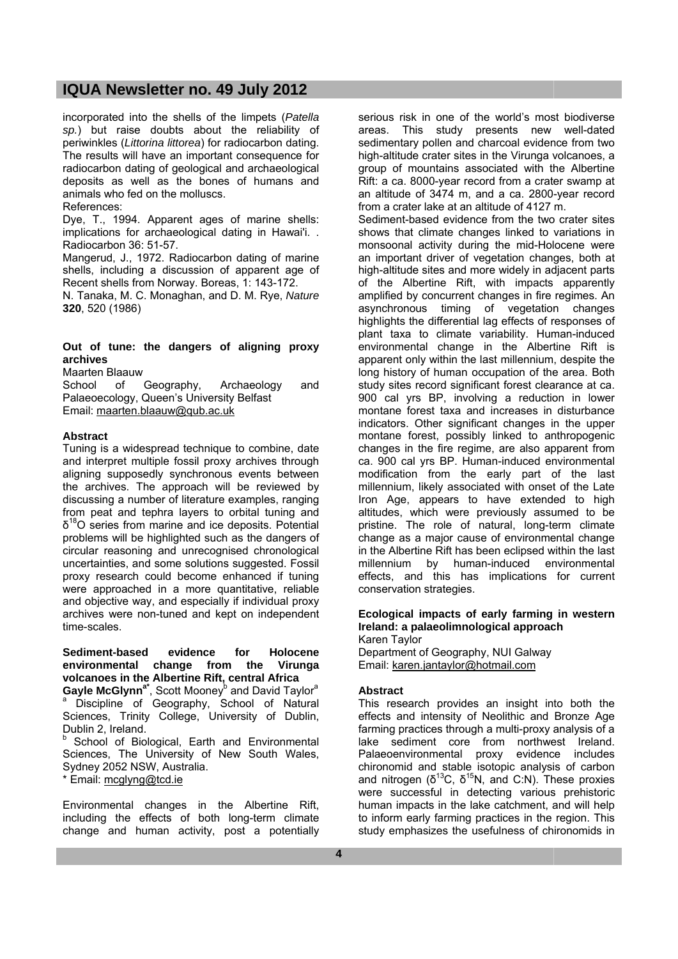incorporated into the shells of the limpets (*Patella sp.*) but raise doubts about the reliability of periwinkles (*Littorina littorea*) for radiocarbon dating. The results will have an important consequence for radiocarbon dating of geological and archaeological deposits as well as the bones of humans and animals who fed on the molluscs.

References:

Dye, T., 1994. Apparent ages of marine shells: implications for archaeological dating in Hawai'i. . Radiocarbon 36: 51-57.

Mangerud, J., 1972. Radiocarbon dating of marine shells, including a discussion of apparent age of Recent shells from Norway. Boreas, 1: 143-172.

N. Tanaka, M. C. Monaghan, and D. M. Rye, *Nature* **320**, 520 (1986)

# **Out of tune: the dangers of aligning proxy archives**

Maarten Blaauw

School of Geography, Archaeology and Palaeoecology, Queen's University Belfast Email: maarten.blaauw@qub.ac.uk

### **Abstract**

Tuning is a widespread technique to combine, date and interpret multiple fossil proxy archives through aligning supposedly synchronous events between the archives. The approach will be reviewed by discussing a number of literature examples, ranging from peat and tephra layers to orbital tuning and  $\delta^{18}$ O series from marine and ice deposits. Potential problems will be highlighted such as the dangers of circular reasoning and unrecognised chronological uncertainties, and some solutions suggested. Fossil proxy research could become enhanced if tuning were approached in a more quantitative, reliable and objective way, and especially if individual proxy archives were non-tuned and kept on independent time-scales.

**Sediment-based evidence for Holocene environmental change from the Virunga volcanoes in the Albertine Rift, central Africa Gayle McGlynn<sup>a\*</sup>, Scott Mooney<sup>b</sup> and David Taylor<sup>a</sup><br><sup>a</sup> Discipline of Geography, School of Natural** Sciences, Trinity College, University of Dublin, Dublin 2, Ireland.

**b** School of Biological, Earth and Environmental Sciences, The University of New South Wales, Sydney 2052 NSW, Australia.

\* Email: mcglyng@tcd.ie

Environmental changes in the Albertine Rift, including the effects of both long-term climate change and human activity, post a potentially serious risk in one of the world's most biodiverse areas. This study presents new well-dated sedimentary pollen and charcoal evidence from two high-altitude crater sites in the Virunga volcanoes, a group of mountains associated with the Albertine Rift: a ca. 8000-year record from a crater swamp at an altitude of 3474 m, and a ca. 2800-year record from a crater lake at an altitude of 4127 m.

Sediment-based evidence from the two crater sites shows that climate changes linked to variations in monsoonal activity during the mid-Holocene were an important driver of vegetation changes, both at high-altitude sites and more widely in adjacent parts of the Albertine Rift, with impacts apparently amplified by concurrent changes in fire regimes. An asynchronous timing of vegetation changes highlights the differential lag effects of responses of plant taxa to climate variability. Human-induced environmental change in the Albertine Rift is apparent only within the last millennium, despite the long history of human occupation of the area. Both study sites record significant forest clearance at ca. 900 cal yrs BP, involving a reduction in lower montane forest taxa and increases in disturbance indicators. Other significant changes in the upper montane forest, possibly linked to anthropogenic changes in the fire regime, are also apparent from ca. 900 cal yrs BP. Human-induced environmental modification from the early part of the last millennium, likely associated with onset of the Late Iron Age, appears to have extended to high altitudes, which were previously assumed to be pristine. The role of natural, long-term climate change as a major cause of environmental change in the Albertine Rift has been eclipsed within the last millennium by human-induced environmental effects, and this has implications for current conservation strategies.

#### **Ecological impacts of early farming in western Ireland: a palaeolimnological approach**  Karen Taylor

Department of Geography, NUI Galway Email: karen.jantaylor@hotmail.com

#### **Abstract**

This research provides an insight into both the effects and intensity of Neolithic and Bronze Age farming practices through a multi-proxy analysis of a lake sediment core from northwest Ireland. Palaeoenvironmental proxy evidence includes chironomid and stable isotopic analysis of carbon and nitrogen  $(\delta^{13}C, \delta^{15}N, \text{ and } C:N)$ . These proxies were successful in detecting various prehistoric human impacts in the lake catchment, and will help to inform early farming practices in the region. This study emphasizes the usefulness of chironomids in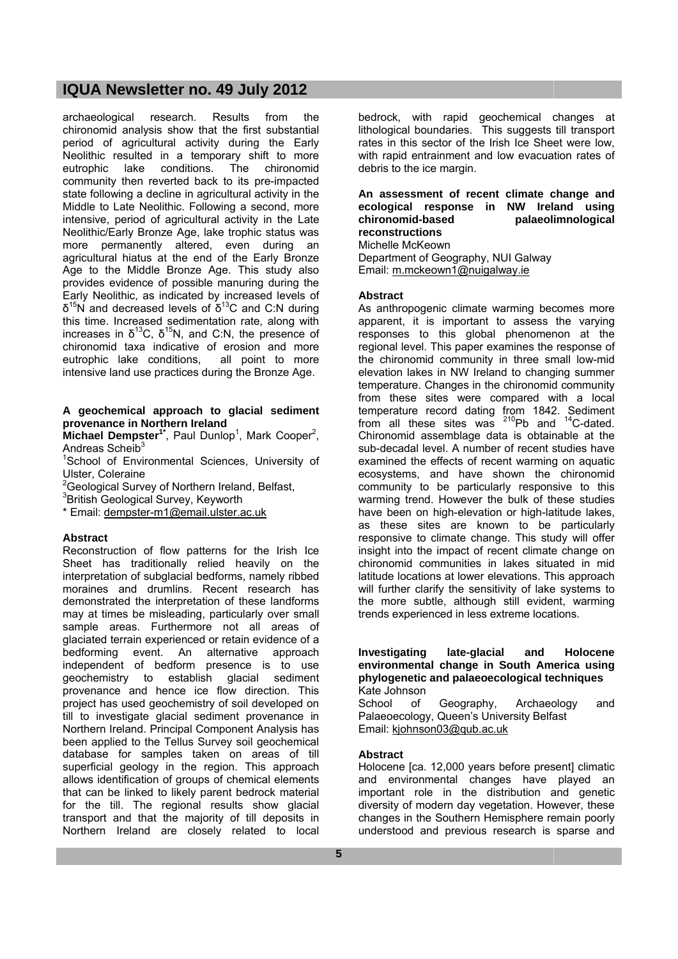archaeological research. Results from the chironomid analysis show that the first substantial period of agricultural activity during the Early Neolithic resulted in a temporary shift to more eutrophic lake conditions. The chironomid community then reverted back to its pre-impacted state following a decline in agricultural activity in the Middle to Late Neolithic. Following a second, more intensive, period of agricultural activity in the Late Neolithic/Early Bronze Age, lake trophic status was more permanently altered, even during an agricultural hiatus at the end of the Early Bronze Age to the Middle Bronze Age. This study also provides evidence of possible manuring during the Early Neolithic, as indicated by increased levels of  $\delta^{15}$ N and decreased levels of  $\delta^{13}$ C and C:N during this time. Increased sedimentation rate, along with increases in  $\delta^{13}$ C,  $\delta^{15}$ N, and C:N, the presence of chironomid taxa indicative of erosion and more<br>eutrophic lake conditions, all point to more eutrophic lake conditions, intensive land use practices during the Bronze Age.

### **A geochemical approach to glacial sediment provenance in Northern Ireland**

**Michael Dempster<sup>1\*</sup>**, Paul Dunlop<sup>1</sup>, Mark Cooper<sup>2</sup>, Andreas Scheib $3$ 

<sup>1</sup>School of Environmental Sciences, University of Ulster, Coleraine

<sup>2</sup> Geological Survey of Northern Ireland, Belfast,

3 British Geological Survey, Keyworth

\* Email: dempster-m1@email.ulster.ac.uk

# **Abstract**

Reconstruction of flow patterns for the Irish Ice Sheet has traditionally relied heavily on the interpretation of subglacial bedforms, namely ribbed moraines and drumlins. Recent research has demonstrated the interpretation of these landforms may at times be misleading, particularly over small sample areas. Furthermore not all areas of glaciated terrain experienced or retain evidence of a bedforming event. An alternative approach independent of bedform presence is to use geochemistry to establish glacial sediment provenance and hence ice flow direction. This project has used geochemistry of soil developed on till to investigate glacial sediment provenance in Northern Ireland. Principal Component Analysis has been applied to the Tellus Survey soil geochemical database for samples taken on areas of till superficial geology in the region. This approach allows identification of groups of chemical elements that can be linked to likely parent bedrock material for the till. The regional results show glacial transport and that the majority of till deposits in Northern Ireland are closely related to local

bedrock, with rapid geochemical changes at lithological boundaries. This suggests till transport rates in this sector of the Irish Ice Sheet were low, with rapid entrainment and low evacuation rates of debris to the ice margin.

# **An assessment of recent climate change and ecological response in NW Ireland using chironomid-based palaeolimnological reconstructions**

Michelle McKeown

Department of Geography, NUI Galway Email: m.mckeown1@nuigalway.ie

# **Abstract**

As anthropogenic climate warming becomes more apparent, it is important to assess the varying responses to this global phenomenon at the regional level. This paper examines the response of the chironomid community in three small low-mid elevation lakes in NW Ireland to changing summer temperature. Changes in the chironomid community from these sites were compared with a local temperature record dating from 1842. Sediment from all these sites was  $^{210}Pb$  and  $^{14}C$ -dated. Chironomid assemblage data is obtainable at the sub-decadal level. A number of recent studies have examined the effects of recent warming on aquatic ecosystems, and have shown the chironomid community to be particularly responsive to this warming trend. However the bulk of these studies have been on high-elevation or high-latitude lakes, as these sites are known to be particularly responsive to climate change. This study will offer insight into the impact of recent climate change on chironomid communities in lakes situated in mid latitude locations at lower elevations. This approach will further clarify the sensitivity of lake systems to the more subtle, although still evident, warming trends experienced in less extreme locations.

#### **Investigating late-glacial and Holocene environmental change in South America using phylogenetic and palaeoecological techniques**  Kate Johnson

School of Geography, Archaeology and Palaeoecology, Queen's University Belfast Email: kjohnson03@qub.ac.uk

# **Abstract**

Holocene [ca. 12,000 years before present] climatic and environmental changes have played an important role in the distribution and genetic diversity of modern day vegetation. However, these changes in the Southern Hemisphere remain poorly understood and previous research is sparse and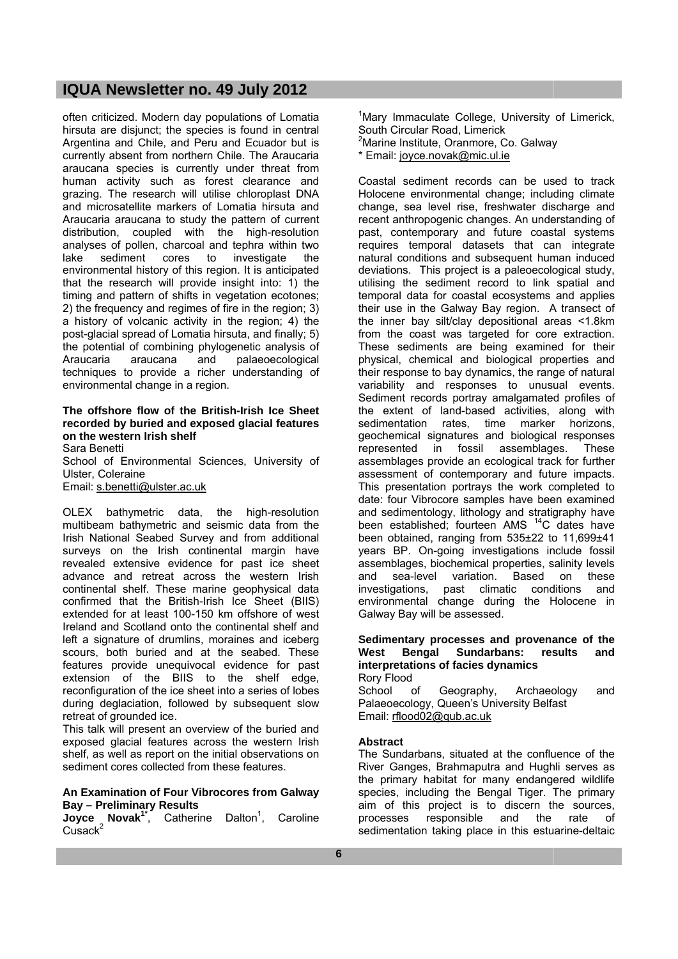often criticized. Modern day populations of Lomatia hirsuta are disjunct; the species is found in central Argentina and Chile, and Peru and Ecuador but is currently absent from northern Chile. The Araucaria araucana species is currently under threat from human activity such as forest clearance and grazing. The research will utilise chloroplast DNA and microsatellite markers of Lomatia hirsuta and Araucaria araucana to study the pattern of current distribution, coupled with the high-resolution analyses of pollen, charcoal and tephra within two lake sediment cores to investigate the environmental history of this region. It is anticipated that the research will provide insight into: 1) the timing and pattern of shifts in vegetation ecotones; 2) the frequency and regimes of fire in the region; 3) a history of volcanic activity in the region; 4) the post-glacial spread of Lomatia hirsuta, and finally; 5) the potential of combining phylogenetic analysis of<br>Araucaria araucana and palaeoecological Araucaria araucana and palaeoecological techniques to provide a richer understanding of environmental change in a region.

# **The offshore flow of the British-Irish Ice Sheet recorded by buried and exposed glacial features on the western Irish shelf**

Sara Benetti School of Environmental Sciences, University of Ulster, Coleraine Email: s.benetti@ulster.ac.uk

OLEX bathymetric data, the high-resolution multibeam bathymetric and seismic data from the Irish National Seabed Survey and from additional surveys on the Irish continental margin have revealed extensive evidence for past ice sheet advance and retreat across the western Irish continental shelf. These marine geophysical data confirmed that the British-Irish Ice Sheet (BIIS) extended for at least 100-150 km offshore of west Ireland and Scotland onto the continental shelf and left a signature of drumlins, moraines and iceberg scours, both buried and at the seabed. These features provide unequivocal evidence for past extension of the BIIS to the shelf edge, reconfiguration of the ice sheet into a series of lobes during deglaciation, followed by subsequent slow retreat of grounded ice.

This talk will present an overview of the buried and exposed glacial features across the western Irish shelf, as well as report on the initial observations on sediment cores collected from these features.

#### **An Examination of Four Vibrocores from Galway Bay – Preliminary Results**

**Joyce Novak<sup>1\*</sup>**, Catherine Dalton<sup>1</sup>, Caroline  $C$ usack $2$ 

<sup>1</sup>Mary Immaculate College, University of Limerick, South Circular Road, Limerick <sup>2</sup>Marine Institute, Oranmore, Co. Galway \* Email: joyce.novak@mic.ul.ie

Coastal sediment records can be used to track Holocene environmental change; including climate change, sea level rise, freshwater discharge and recent anthropogenic changes. An understanding of past, contemporary and future coastal systems requires temporal datasets that can integrate natural conditions and subsequent human induced deviations. This project is a paleoecological study, utilising the sediment record to link spatial and temporal data for coastal ecosystems and applies their use in the Galway Bay region. A transect of the inner bay silt/clay depositional areas <1.8km from the coast was targeted for core extraction. These sediments are being examined for their physical, chemical and biological properties and their response to bay dynamics, the range of natural variability and responses to unusual events. Sediment records portray amalgamated profiles of the extent of land-based activities, along with sedimentation rates, time marker horizons, geochemical signatures and biological responses represented in fossil assemblages. These assemblages provide an ecological track for further assessment of contemporary and future impacts. This presentation portrays the work completed to date: four Vibrocore samples have been examined and sedimentology, lithology and stratigraphy have been established; fourteen AMS <sup>14</sup>C dates have been obtained, ranging from 535±22 to 11,699±41 years BP. On-going investigations include fossil assemblages, biochemical properties, salinity levels and sea-level variation. Based on these investigations, past climatic conditions and environmental change during the Holocene in Galway Bay will be assessed.

#### **Sedimentary processes and provenance of the West Bengal Sundarbans: results and interpretations of facies dynamics**  Rory Flood

School of Geography, Archaeology and Palaeoecology, Queen's University Belfast Email: rflood02@qub.ac.uk

# **Abstract**

The Sundarbans, situated at the confluence of the River Ganges, Brahmaputra and Hughli serves as the primary habitat for many endangered wildlife species, including the Bengal Tiger. The primary aim of this project is to discern the sources, processes responsible and the rate of sedimentation taking place in this estuarine-deltaic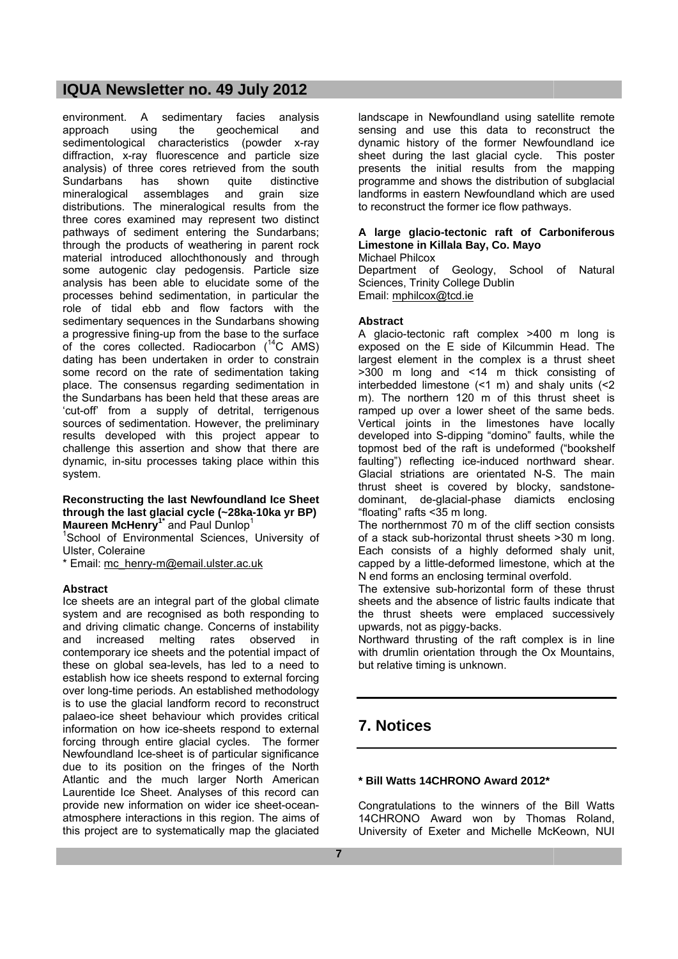environment. A sedimentary facies analysis approach using the geochemical and sedimentological characteristics (powder x-ray diffraction, x-ray fluorescence and particle size analysis) of three cores retrieved from the south Sundarbans has shown quite distinctive mineralogical assemblages and grain size distributions. The mineralogical results from the three cores examined may represent two distinct pathways of sediment entering the Sundarbans; through the products of weathering in parent rock material introduced allochthonously and through some autogenic clay pedogensis. Particle size analysis has been able to elucidate some of the processes behind sedimentation, in particular the role of tidal ebb and flow factors with the sedimentary sequences in the Sundarbans showing a progressive fining-up from the base to the surface of the cores collected. Radiocarbon  $(^{14}C$  AMS) dating has been undertaken in order to constrain some record on the rate of sedimentation taking place. The consensus regarding sedimentation in the Sundarbans has been held that these areas are 'cut-off' from a supply of detrital, terrigenous sources of sedimentation. However, the preliminary results developed with this project appear to challenge this assertion and show that there are dynamic, in-situ processes taking place within this system.

### **Reconstructing the last Newfoundland Ice Sheet through the last glacial cycle (~28ka-10ka yr BP) Maureen McHenry1\*** and Paul Dunlop<sup>1</sup>

<sup>1</sup>School of Environmental Sciences, University of Ulster, Coleraine

\* Email: mc\_henry-m@email.ulster.ac.uk

# **Abstract**

Ice sheets are an integral part of the global climate system and are recognised as both responding to and driving climatic change. Concerns of instability and increased melting rates observed in contemporary ice sheets and the potential impact of these on global sea-levels, has led to a need to establish how ice sheets respond to external forcing over long-time periods. An established methodology is to use the glacial landform record to reconstruct palaeo-ice sheet behaviour which provides critical information on how ice-sheets respond to external forcing through entire glacial cycles. The former Newfoundland Ice-sheet is of particular significance due to its position on the fringes of the North Atlantic and the much larger North American Laurentide Ice Sheet. Analyses of this record can provide new information on wider ice sheet-oceanatmosphere interactions in this region. The aims of this project are to systematically map the glaciated landscape in Newfoundland using satellite remote sensing and use this data to reconstruct the dynamic history of the former Newfoundland ice sheet during the last glacial cycle. This poster presents the initial results from the mapping programme and shows the distribution of subglacial landforms in eastern Newfoundland which are used to reconstruct the former ice flow pathways.

# **A large glacio-tectonic raft of Carboniferous Limestone in Killala Bay, Co. Mayo**

Michael Philcox

Department of Geology, School of Natural Sciences, Trinity College Dublin Email: mphilcox@tcd.ie

# **Abstract**

A glacio-tectonic raft complex >400 m long is exposed on the E side of Kilcummin Head. The largest element in the complex is a thrust sheet >300 m long and <14 m thick consisting of interbedded limestone (<1 m) and shaly units (<2 m). The northern 120 m of this thrust sheet is ramped up over a lower sheet of the same beds. Vertical joints in the limestones have locally developed into S-dipping "domino" faults, while the topmost bed of the raft is undeformed ("bookshelf faulting") reflecting ice-induced northward shear. Glacial striations are orientated N-S. The main thrust sheet is covered by blocky, sandstonedominant, de-glacial-phase diamicts enclosing "floating" rafts <35 m long.

The northernmost 70 m of the cliff section consists of a stack sub-horizontal thrust sheets >30 m long. Each consists of a highly deformed shaly unit, capped by a little-deformed limestone, which at the N end forms an enclosing terminal overfold.

The extensive sub-horizontal form of these thrust sheets and the absence of listric faults indicate that the thrust sheets were emplaced successively upwards, not as piggy-backs.

Northward thrusting of the raft complex is in line with drumlin orientation through the Ox Mountains, but relative timing is unknown.

# **7. Notices**

# **\* Bill Watts 14CHRONO Award 2012\***

Congratulations to the winners of the Bill Watts 14CHRONO Award won by Thomas Roland, University of Exeter and Michelle McKeown, NUI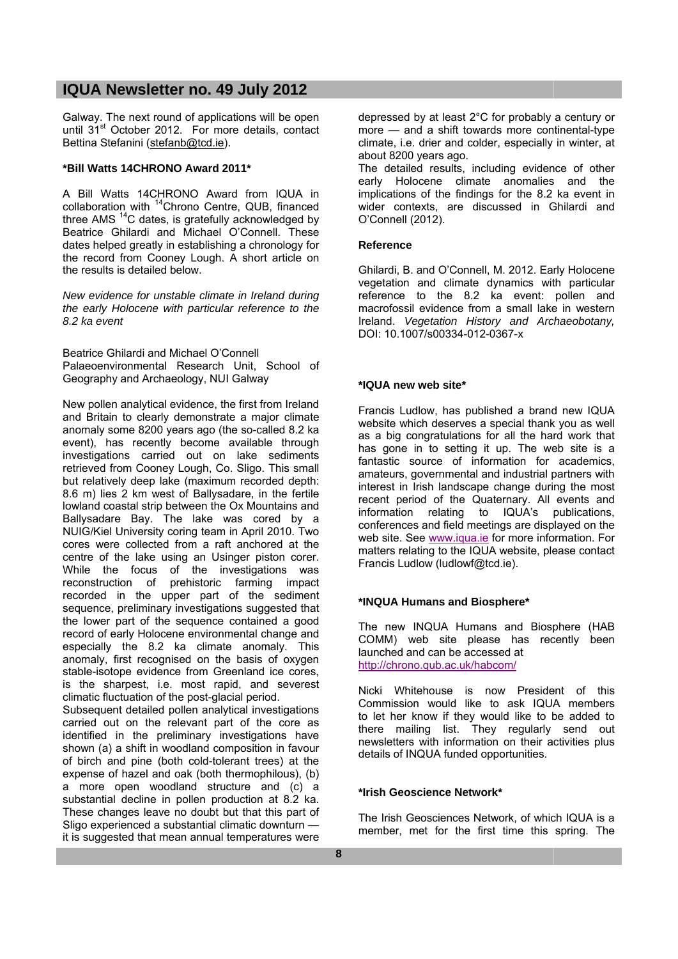Galway. The next round of applications will be open until 31<sup>st</sup> October 2012. For more details, contact Bettina Stefanini (stefanb@tcd.ie).

### **\*Bill Watts 14CHRONO Award 2011\***

A Bill Watts 14CHRONO Award from IQUA in collaboration with <sup>14</sup>Chrono Centre, QUB, financed three AMS<sup>14</sup>C dates, is gratefully acknowledged by Beatrice Ghilardi and Michael O'Connell. These dates helped greatly in establishing a chronology for the record from Cooney Lough. A short article on the results is detailed below.

*New evidence for unstable climate in Ireland during the early Holocene with particular reference to the 8.2 ka event* 

Beatrice Ghilardi and Michael O'Connell Palaeoenvironmental Research Unit, School of Geography and Archaeology, NUI Galway

New pollen analytical evidence, the first from Ireland and Britain to clearly demonstrate a major climate anomaly some 8200 years ago (the so-called 8.2 ka event), has recently become available through investigations carried out on lake sediments retrieved from Cooney Lough, Co. Sligo. This small but relatively deep lake (maximum recorded depth: 8.6 m) lies 2 km west of Ballysadare, in the fertile lowland coastal strip between the Ox Mountains and Ballysadare Bay. The lake was cored by a NUIG/Kiel University coring team in April 2010. Two cores were collected from a raft anchored at the centre of the lake using an Usinger piston corer. While the focus of the investigations was reconstruction of prehistoric farming impact recorded in the upper part of the sediment sequence, preliminary investigations suggested that the lower part of the sequence contained a good record of early Holocene environmental change and especially the 8.2 ka climate anomaly. This anomaly, first recognised on the basis of oxygen stable-isotope evidence from Greenland ice cores. is the sharpest, i.e. most rapid, and severest climatic fluctuation of the post-glacial period.

Subsequent detailed pollen analytical investigations carried out on the relevant part of the core as identified in the preliminary investigations have shown (a) a shift in woodland composition in favour of birch and pine (both cold-tolerant trees) at the expense of hazel and oak (both thermophilous), (b) a more open woodland structure and (c) a substantial decline in pollen production at 8.2 ka. These changes leave no doubt but that this part of Sligo experienced a substantial climatic downturn it is suggested that mean annual temperatures were

depressed by at least 2°C for probably a century or more — and a shift towards more continental-type climate, i.e. drier and colder, especially in winter, at about 8200 years ago.

The detailed results, including evidence of other early Holocene climate anomalies and the implications of the findings for the 8.2 ka event in wider contexts, are discussed in Ghilardi and O'Connell (2012).

### **Reference**

Ghilardi, B. and O'Connell, M. 2012. Early Holocene vegetation and climate dynamics with particular reference to the 8.2 ka event: pollen and macrofossil evidence from a small lake in western Ireland. *Vegetation History and Archaeobotany,* DOI: 10.1007/s00334-012-0367-x

### **\*IQUA new web site\***

Francis Ludlow, has published a brand new IQUA website which deserves a special thank you as well as a big congratulations for all the hard work that has gone in to setting it up. The web site is a fantastic source of information for academics, amateurs, governmental and industrial partners with interest in Irish landscape change during the most recent period of the Quaternary. All events and information relating to IQUA's publications, conferences and field meetings are displayed on the web site. See www.iqua.ie for more information. For matters relating to the IQUA website, please contact Francis Ludlow (ludlowf@tcd.ie).

# **\*INQUA Humans and Biosphere\***

The new INQUA Humans and Biosphere (HAB COMM) web site please has recently been launched and can be accessed at http://chrono.qub.ac.uk/habcom/

Nicki Whitehouse is now President of this Commission would like to ask IQUA members to let her know if they would like to be added to there mailing list. They regularly send out newsletters with information on their activities plus details of INQUA funded opportunities.

# **\*Irish Geoscience Network\***

The Irish Geosciences Network, of which IQUA is a member, met for the first time this spring. The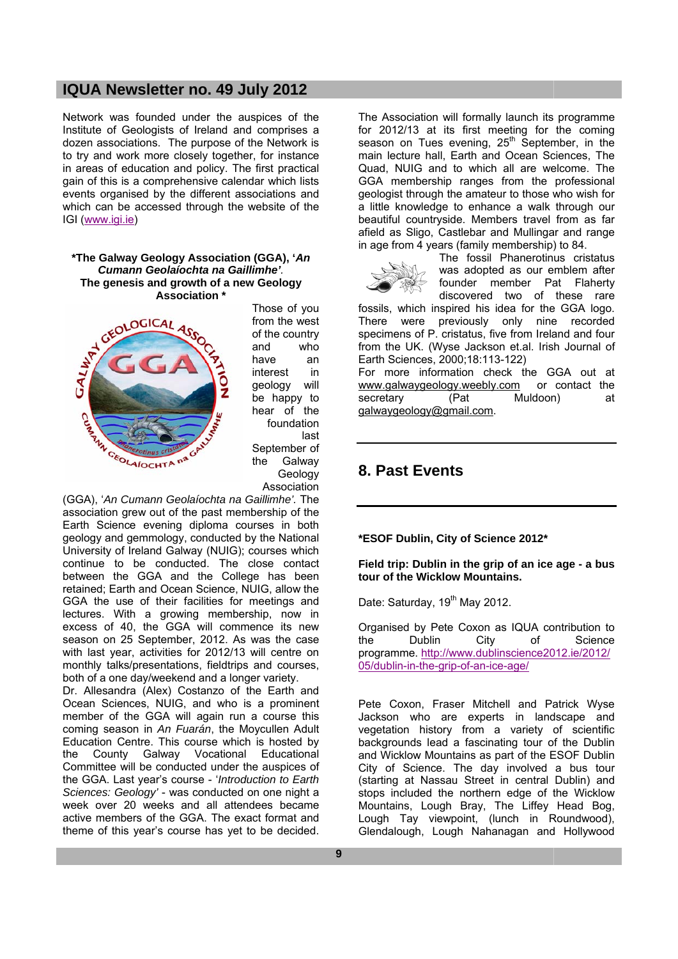Network was founded under the auspices of the Institute of Geologists of Ireland and comprises a dozen associations. The purpose of the Network is to try and work more closely together, for instance in areas of education and policy. The first practical gain of this is a comprehensive calendar which lists events organised by the different associations and which can be accessed through the website of the IGI (www.igi.ie)

#### **\*The Galway Geology Association (GGA), '***An Cumann Geolaíochta na Gaillimhe'.* **The genesis and growth of a new Geology Association \***



Those of you from the west of the country and who have an interest in geology will be happy to hear of the foundation last September of the Galway Geology Association

(GGA), '*An Cumann Geolaíochta na Gaillimhe'.* The association grew out of the past membership of the Earth Science evening diploma courses in both geology and gemmology, conducted by the National University of Ireland Galway (NUIG); courses which continue to be conducted. The close contact between the GGA and the College has been retained; Earth and Ocean Science, NUIG, allow the GGA the use of their facilities for meetings and lectures. With a growing membership, now in excess of 40, the GGA will commence its new season on 25 September, 2012. As was the case with last year, activities for 2012/13 will centre on monthly talks/presentations, fieldtrips and courses, both of a one day/weekend and a longer variety.

Dr. Allesandra (Alex) Costanzo of the Earth and Ocean Sciences, NUIG, and who is a prominent member of the GGA will again run a course this coming season in *An Fuarán*, the Moycullen Adult Education Centre. This course which is hosted by the County Galway Vocational Educational Committee will be conducted under the auspices of the GGA. Last year's course - '*Introduction to Earth Sciences: Geology'* - was conducted on one night a week over 20 weeks and all attendees became active members of the GGA. The exact format and theme of this year's course has yet to be decided.

The Association will formally launch its programme for 2012/13 at its first meeting for the coming season on Tues evening, 25<sup>th</sup> September, in the main lecture hall, Earth and Ocean Sciences, The Quad, NUIG and to which all are welcome. The GGA membership ranges from the professional geologist through the amateur to those who wish for a little knowledge to enhance a walk through our beautiful countryside. Members travel from as far afield as Sligo, Castlebar and Mullingar and range in age from 4 years (family membership) to 84.



The fossil Phanerotinus cristatus was adopted as our emblem after founder member Pat Flaherty discovered two of these rare

fossils, which inspired his idea for the GGA logo. There were previously only nine recorded specimens of P. cristatus, five from Ireland and four from the UK. (Wyse Jackson et.al. Irish Journal of Earth Sciences, 2000;18:113-122)

For more information check the GGA out at www.galwaygeology.weebly.com or contact the<br>secretary (Pat Muldoon) at secretary (Pat Muldoon) at galwaygeology@gmail.com.

# **8. Past Events**

**\*ESOF Dublin, City of Science 2012\*** 

#### **Field trip: Dublin in the grip of an ice age - a bus tour of the Wicklow Mountains.**

Date: Saturday, 19<sup>th</sup> May 2012.

Organised by Pete Coxon as IQUA contribution to<br>the Dublin City of Science the Dublin City of Science programme. http://www.dublinscience2012.ie/2012/ 05/dublin-in-the-grip-of-an-ice-age/

Pete Coxon, Fraser Mitchell and Patrick Wyse Jackson who are experts in landscape and vegetation history from a variety of scientific backgrounds lead a fascinating tour of the Dublin and Wicklow Mountains as part of the ESOF Dublin City of Science. The day involved a bus tour (starting at Nassau Street in central Dublin) and stops included the northern edge of the Wicklow Mountains, Lough Bray, The Liffey Head Bog, Lough Tay viewpoint, (lunch in Roundwood), Glendalough, Lough Nahanagan and Hollywood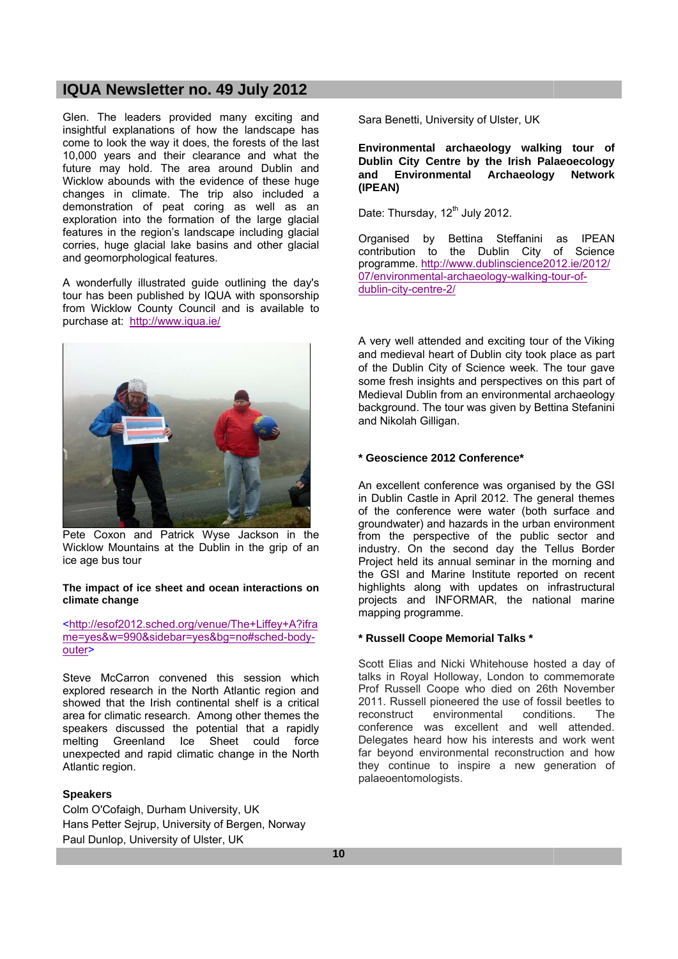Glen. The leaders provided many exciting and insightful explanations of how the landscape has come to look the way it does, the forests of the last 10,000 years and their clearance and what the future may hold. The area around Dublin and Wicklow abounds with the evidence of these huge changes in climate. The trip also included a demonstration of peat coring as well as an exploration into the formation of the large glacial features in the region's landscape including glacial corries, huge glacial lake basins and other glacial and geomorphological features.

A wonderfully illustrated guide outlining the day's tour has been published by IQUA with sponsorship from Wicklow County Council and is available to purchase at: http://www.iqua.ie/



Pete Coxon and Patrick Wyse Jackson in the Wicklow Mountains at the Dublin in the grip of an ice age bus tour

#### **The impact of ice sheet and ocean interactions on climate change**

<http://esof2012.sched.org/venue/The+Liffey+A?ifra me=yes&w=990&sidebar=yes&bg=no#sched-bodyouter>

Steve McCarron convened this session which explored research in the North Atlantic region and showed that the Irish continental shelf is a critical area for climatic research. Among other themes the speakers discussed the potential that a rapidly melting Greenland Ice Sheet could force unexpected and rapid climatic change in the North Atlantic region.

# **Speakers**

Colm O'Cofaigh, Durham University, UK Hans Petter Sejrup, University of Bergen, Norway Paul Dunlop, University of Ulster, UK

Sara Benetti, University of Ulster, UK

**Environmental archaeology walking tour of Dublin City Centre by the Irish Palaeoecology and Environmental Archaeology Network (IPEAN)** 

Date: Thursday, 12<sup>th</sup> July 2012.

Organised by Bettina Steffanini as IPEAN contribution to the Dublin City of Science programme. http://www.dublinscience2012.ie/2012/ 07/environmental-archaeology-walking-tour-ofdublin-city-centre-2/

A very well attended and exciting tour of the Viking and medieval heart of Dublin city took place as part of the Dublin City of Science week. The tour gave some fresh insights and perspectives on this part of Medieval Dublin from an environmental archaeology background. The tour was given by Bettina Stefanini and Nikolah Gilligan.

#### **\* Geoscience 2012 Conference\***

An excellent conference was organised by the GSI in Dublin Castle in April 2012. The general themes of the conference were water (both surface and groundwater) and hazards in the urban environment from the perspective of the public sector and industry. On the second day the Tellus Border Project held its annual seminar in the morning and the GSI and Marine Institute reported on recent highlights along with updates on infrastructural projects and INFORMAR, the national marine mapping programme.

#### **\* Russell Coope Memorial Talks \***

Scott Elias and Nicki Whitehouse hosted a day of talks in Royal Holloway, London to commemorate Prof Russell Coope who died on 26th November 2011. Russell pioneered the use of fossil beetles to reconstruct environmental conditions. The conference was excellent and well attended. Delegates heard how his interests and work went far beyond environmental reconstruction and how they continue to inspire a new generation of palaeoentomologists.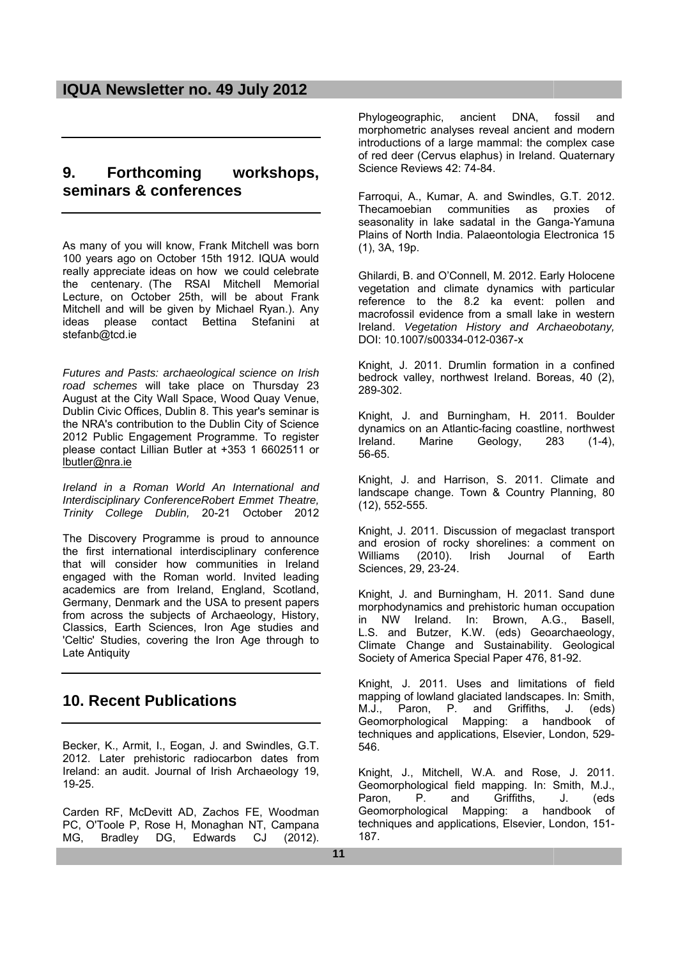# **9. Forthcoming workshops, seminars & conferences**

As many of you will know, Frank Mitchell was born 100 years ago on October 15th 1912. IQUA would really appreciate ideas on how we could celebrate the centenary. (The RSAI Mitchell Memorial Lecture, on October 25th, will be about Frank Mitchell and will be given by Michael Ryan.). Any ideas please contact Bettina Stefanini at stefanb@tcd.ie

*Futures and Pasts: archaeological science on Irish road schemes* will take place on Thursday 23 August at the City Wall Space, Wood Quay Venue, Dublin Civic Offices, Dublin 8. This year's seminar is the NRA's contribution to the Dublin City of Science 2012 Public Engagement Programme. To register please contact Lillian Butler at +353 1 6602511 or lbutler@nra.ie

*Ireland in a Roman World An International and Interdisciplinary ConferenceRobert Emmet Theatre, Trinity College Dublin,* 20-21 October 2012

The Discovery Programme is proud to announce the first international interdisciplinary conference that will consider how communities in Ireland engaged with the Roman world. Invited leading academics are from Ireland, England, Scotland, Germany, Denmark and the USA to present papers from across the subjects of Archaeology, History, Classics, Earth Sciences, Iron Age studies and 'Celtic' Studies, covering the Iron Age through to Late Antiquity

# **10. Recent Publications**

Becker, K., Armit, I., Eogan, J. and Swindles, G.T. 2012. Later prehistoric radiocarbon dates from Ireland: an audit. Journal of Irish Archaeology 19, 19-25.

Carden RF, McDevitt AD, Zachos FE, Woodman PC, O'Toole P, Rose H, Monaghan NT, Campana MG, Bradley DG, Edwards CJ (2012).

Phylogeographic, ancient DNA, fossil and morphometric analyses reveal ancient and modern introductions of a large mammal: the complex case of red deer (Cervus elaphus) in Ireland. Quaternary Science Reviews 42: 74-84.

Farroqui, A., Kumar, A. and Swindles, G.T. 2012. Thecamoebian communities as proxies of seasonality in lake sadatal in the Ganga-Yamuna Plains of North India. Palaeontologia Electronica 15 (1), 3A, 19p.

Ghilardi, B. and O'Connell, M. 2012. Early Holocene vegetation and climate dynamics with particular reference to the 8.2 ka event: pollen and macrofossil evidence from a small lake in western Ireland. *Vegetation History and Archaeobotany,* DOI: 10.1007/s00334-012-0367-x

Knight, J. 2011. Drumlin formation in a confined bedrock valley, northwest Ireland. Boreas, 40 (2), 289-302.

Knight, J. and Burningham, H. 2011. Boulder dynamics on an Atlantic-facing coastline, northwest<br>Ireland. Marine Geology. 283 (1-4). Geology, 283 (1-4), 56-65.

Knight, J. and Harrison, S. 2011. Climate and landscape change. Town & Country Planning, 80 (12), 552-555.

Knight, J. 2011. Discussion of megaclast transport and erosion of rocky shorelines: a comment on Williams (2010). Irish Journal of Earth Sciences, 29, 23-24.

Knight, J. and Burningham, H. 2011. Sand dune morphodynamics and prehistoric human occupation in NW Ireland. In: Brown, A.G., Basell, L.S. and Butzer, K.W. (eds) Geoarchaeology, Climate Change and Sustainability. Geological Society of America Special Paper 476, 81-92.

Knight, J. 2011. Uses and limitations of field mapping of lowland glaciated landscapes. In: Smith, M.J., Paron, P. and Griffiths, J. (eds) Geomorphological Mapping: a handbook of techniques and applications, Elsevier, London, 529- 546.

Knight, J., Mitchell, W.A. and Rose, J. 2011. Geomorphological field mapping. In: Smith, M.J., Paron, P. and Griffiths, J. (eds Geomorphological Mapping: a handbook of techniques and applications, Elsevier, London, 151- 187.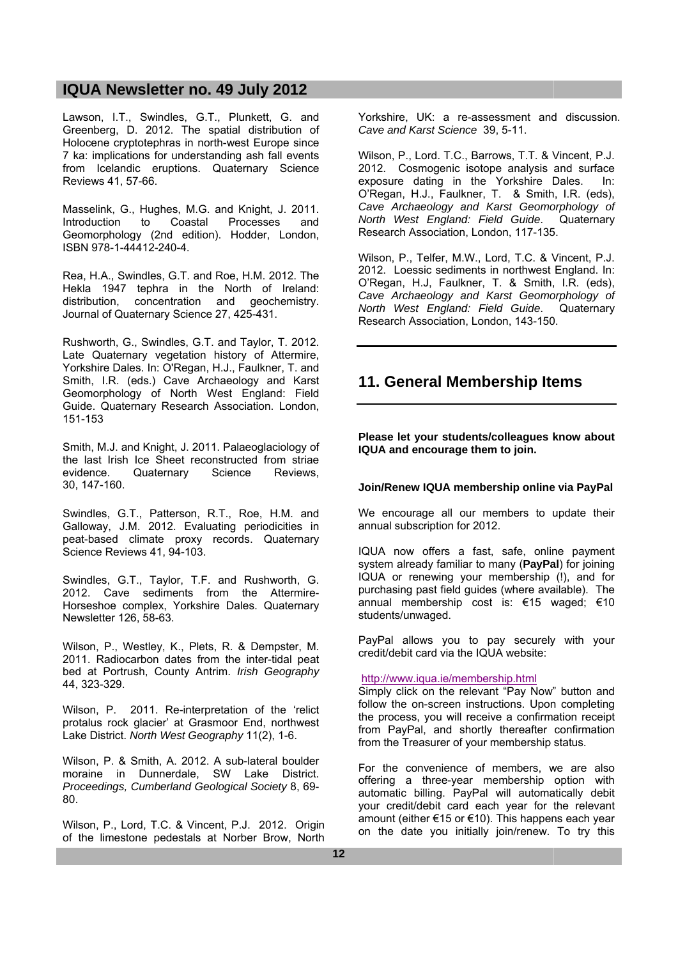Lawson, I.T., Swindles, G.T., Plunkett, G. and Greenberg, D. 2012. The spatial distribution of Holocene cryptotephras in north-west Europe since 7 ka: implications for understanding ash fall events from Icelandic eruptions. Quaternary Science Reviews 41, 57-66.

Masselink, G., Hughes, M.G. and Knight, J. 2011.<br>Introduction to Coastal Processes and Introduction to Coastal Processes and Geomorphology (2nd edition). Hodder, London, ISBN 978-1-44412-240-4.

Rea, H.A., Swindles, G.T. and Roe, H.M. 2012. The Hekla 1947 tephra in the North of Ireland: distribution, concentration and geochemistry. Journal of Quaternary Science 27, 425-431.

Rushworth, G., Swindles, G.T. and Taylor, T. 2012. Late Quaternary vegetation history of Attermire, Yorkshire Dales. In: O'Regan, H.J., Faulkner, T. and Smith, I.R. (eds.) Cave Archaeology and Karst Geomorphology of North West England: Field Guide. Quaternary Research Association. London, 151-153

Smith, M.J. and Knight, J. 2011. Palaeoglaciology of the last Irish Ice Sheet reconstructed from striae evidence. Quaternary Science Reviews, 30, 147-160.

Swindles, G.T., Patterson, R.T., Roe, H.M. and Galloway, J.M. 2012. Evaluating periodicities in peat-based climate proxy records. Quaternary Science Reviews 41, 94-103.

Swindles, G.T., Taylor, T.F. and Rushworth, G. 2012. Cave sediments from the Attermire-Horseshoe complex, Yorkshire Dales. Quaternary Newsletter 126, 58-63.

Wilson, P., Westley, K., Plets, R. & Dempster, M. 2011. Radiocarbon dates from the inter-tidal peat bed at Portrush, County Antrim. *Irish Geography* 44, 323-329.

Wilson, P. 2011. Re-interpretation of the 'relict protalus rock glacier' at Grasmoor End, northwest Lake District. *North West Geography* 11(2), 1-6.

Wilson, P. & Smith, A. 2012. A sub-lateral boulder moraine in Dunnerdale, SW Lake District. *Proceedings, Cumberland Geological Society* 8, 69- 80.

Wilson, P., Lord, T.C. & Vincent, P.J. 2012. Origin of the limestone pedestals at Norber Brow, North

Yorkshire, UK: a re-assessment and discussion. *Cave and Karst Science* 39, 5-11.

Wilson, P., Lord. T.C., Barrows, T.T. & Vincent, P.J. 2012. Cosmogenic isotope analysis and surface exposure dating in the Yorkshire Dales. In: O'Regan, H.J., Faulkner, T. & Smith, I.R. (eds), *Cave Archaeology and Karst Geomorphology of North West England: Field Guide*. Quaternary Research Association, London, 117-135.

Wilson, P., Telfer, M.W., Lord, T.C. & Vincent, P.J. 2012. Loessic sediments in northwest England. In: O'Regan, H.J, Faulkner, T. & Smith, I.R. (eds), *Cave Archaeology and Karst Geomorphology of North West England: Field Guide*. Quaternary Research Association, London, 143-150.

# **11. General Membership Items**

**Please let your students/colleagues know about IQUA and encourage them to join.** 

# **Join/Renew IQUA membership online via PayPal**

We encourage all our members to update their annual subscription for 2012.

IQUA now offers a fast, safe, online payment system already familiar to many (**PayPal**) for joining IQUA or renewing your membership (!), and for purchasing past field guides (where available). The annual membership cost is: €15 waged; €10 students/unwaged.

PayPal allows you to pay securely with your credit/debit card via the IQUA website:

# http://www.iqua.ie/membership.html

Simply click on the relevant "Pay Now" button and follow the on-screen instructions. Upon completing the process, you will receive a confirmation receipt from PayPal, and shortly thereafter confirmation from the Treasurer of your membership status.

For the convenience of members, we are also offering a three-year membership option with automatic billing. PayPal will automatically debit your credit/debit card each year for the relevant amount (either €15 or €10). This happens each year on the date you initially join/renew. To try this